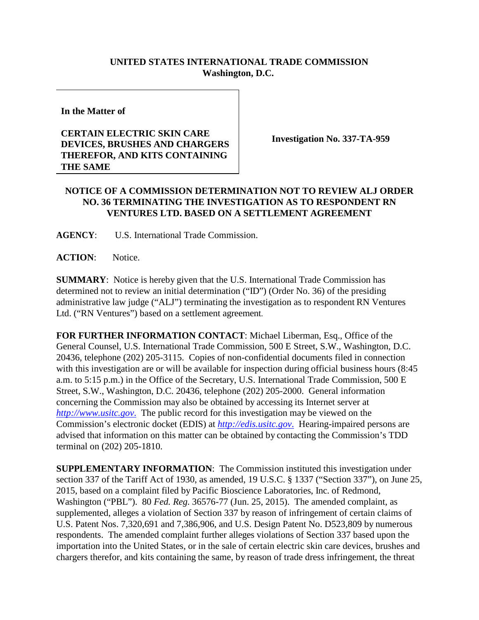## **UNITED STATES INTERNATIONAL TRADE COMMISSION Washington, D.C.**

**In the Matter of**

## **CERTAIN ELECTRIC SKIN CARE DEVICES, BRUSHES AND CHARGERS THEREFOR, AND KITS CONTAINING THE SAME**

**Investigation No. 337-TA-959**

## **NOTICE OF A COMMISSION DETERMINATION NOT TO REVIEW ALJ ORDER NO. 36 TERMINATING THE INVESTIGATION AS TO RESPONDENT RN VENTURES LTD. BASED ON A SETTLEMENT AGREEMENT**

**AGENCY**: U.S. International Trade Commission.

**ACTION**: Notice.

**SUMMARY**: Notice is hereby given that the U.S. International Trade Commission has determined not to review an initial determination ("ID") (Order No. 36) of the presiding administrative law judge ("ALJ") terminating the investigation as to respondent RN Ventures Ltd. ("RN Ventures") based on a settlement agreement.

**FOR FURTHER INFORMATION CONTACT**: Michael Liberman, Esq., Office of the General Counsel, U.S. International Trade Commission, 500 E Street, S.W., Washington, D.C. 20436, telephone (202) 205-3115. Copies of non-confidential documents filed in connection with this investigation are or will be available for inspection during official business hours (8:45 a.m. to 5:15 p.m.) in the Office of the Secretary, U.S. International Trade Commission, 500 E Street, S.W., Washington, D.C. 20436, telephone (202) 205-2000. General information concerning the Commission may also be obtained by accessing its Internet server at *[http://www.usitc.gov](http://www.usitc.gov./)*. The public record for this investigation may be viewed on the Commission's electronic docket (EDIS) at *[http://edis.usitc.gov](http://edis.usitc.gov./)*. Hearing-impaired persons are advised that information on this matter can be obtained by contacting the Commission's TDD terminal on (202) 205-1810.

**SUPPLEMENTARY INFORMATION**: The Commission instituted this investigation under section 337 of the Tariff Act of 1930, as amended, 19 U.S.C. § 1337 ("Section 337"), on June 25, 2015, based on a complaint filed by Pacific Bioscience Laboratories, Inc. of Redmond, Washington ("PBL"). 80 *Fed. Reg.* 36576-77 (Jun. 25, 2015). The amended complaint, as supplemented, alleges a violation of Section 337 by reason of infringement of certain claims of U.S. Patent Nos. 7,320,691 and 7,386,906, and U.S. Design Patent No. D523,809 by numerous respondents. The amended complaint further alleges violations of Section 337 based upon the importation into the United States, or in the sale of certain electric skin care devices, brushes and chargers therefor, and kits containing the same, by reason of trade dress infringement, the threat